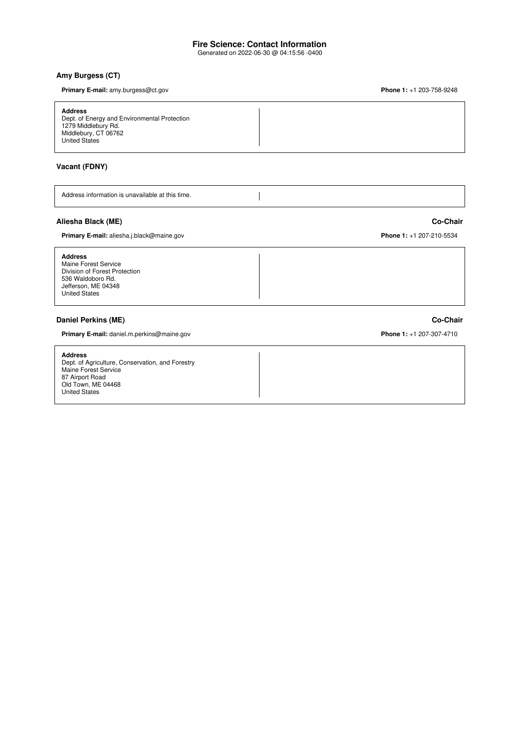## **Fire Science: Contact Information**

Generated on 2022-06-30 @ 04:15:56 -0400

### **Amy Burgess (CT)**

**Primary E-mail:** [amy.burgess@ct.gov](mailto:amy.burgess@ct.gov) **Phone 1:** +1 203-758-9248 **Address** Dept. of Energy and Environmental Protection 1279 Middlebury Rd. Middlebury, CT 06762 United States

 $\overline{1}$ 

# **Vacant (FDNY)**

Address information is unavailable at this time.

## **Aliesha Black (ME) Co-Chair**

**Primary E-mail:** [aliesha.j.black@maine.gov](mailto:aliesha.j.black@maine.gov) **Phone 1:** +1 207-210-5534

| <b>Address</b><br>Maine Forest Service<br>Division of Forest Protection<br>536 Waldoboro Rd.<br>Jefferson, ME 04348<br><b>United States</b> |  |  |  |
|---------------------------------------------------------------------------------------------------------------------------------------------|--|--|--|
|---------------------------------------------------------------------------------------------------------------------------------------------|--|--|--|

### **Daniel Perkins (ME) Co-Chair**

**Primary E-mail:** [daniel.m.perkins@maine.gov](mailto:daniel.m.perkins@maine.gov) **Phone 1:** +1 207-307-4710

**Address** Dept. of Agriculture, Conservation, and Forestry Maine Forest Service 87 Airport Road Old Town, ME 04468 United States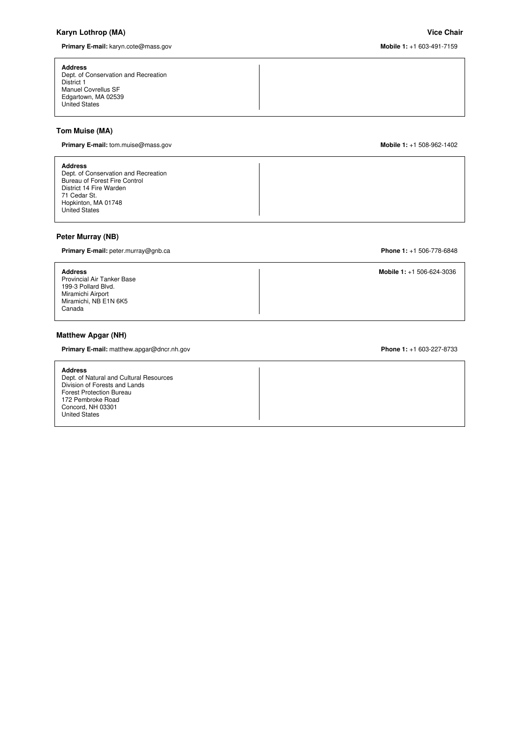#### **Karyn Lothrop (MA) Vice Chair**

**Primary E-mail:** [karyn.cote@mass.gov](mailto:karyn.cote@mass.gov) **Mobile 1:** +1 603-491-7159

| <b>Address</b><br>Dept. of Conservation and Recreation<br>District 1<br><b>Manuel Covrellus SF</b><br>Edgartown, MA 02539<br><b>United States</b> |  |
|---------------------------------------------------------------------------------------------------------------------------------------------------|--|
|---------------------------------------------------------------------------------------------------------------------------------------------------|--|

## **Tom Muise (MA)**

**Primary E-mail:** [tom.muise@mass.gov](mailto:tom.muise@mass.gov) **Mobile 1:** +1 508-962-1402

**Address** Dept. of Conservation and Recreation Bureau of Forest Fire Control District 14 Fire Warden 71 Cedar St. Hopkinton, MA 01748 United States

## **Peter Murray (NB)**

# **Primary E-mail:** [peter.murray@gnb.ca](mailto:peter.murray@gnb.ca) **Phone 1:** +1 506-778-6848

| <b>Address</b><br>Provincial Air Tanker Base<br>199-3 Pollard Blvd.<br>Miramichi Airport<br>Miramichi, NB E1N 6K5<br>Canada | Mobile $1: +1, 506 - 624 - 3036$ |
|-----------------------------------------------------------------------------------------------------------------------------|----------------------------------|
|-----------------------------------------------------------------------------------------------------------------------------|----------------------------------|

#### **Matthew Apgar (NH)**

**Primary E-mail:** [matthew.apgar@dncr.nh.gov](mailto:matthew.apgar@dncr.nh.gov) **Phone 1:** +1 603-227-8733

**Address** Dept. of Natural and Cultural Resources Division of Forests and Lands Forest Protection Bureau 172 Pembroke Road Concord, NH 03301 United States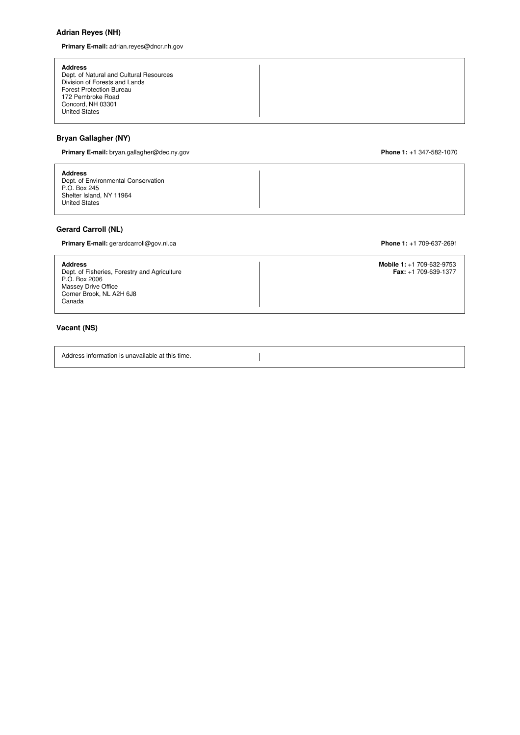#### **Adrian Reyes (NH)**

**Primary E-mail:** [adrian.reyes@dncr.nh.gov](mailto:adrian.reyes@dncr.nh.gov)

| <b>Address</b><br>Dept. of Natural and Cultural Resources<br>Division of Forests and Lands<br><b>Forest Protection Bureau</b><br>172 Pembroke Road<br>Concord, NH 03301<br><b>United States</b> |  |  |
|-------------------------------------------------------------------------------------------------------------------------------------------------------------------------------------------------|--|--|
|-------------------------------------------------------------------------------------------------------------------------------------------------------------------------------------------------|--|--|

## **Bryan Gallagher (NY)**

**Primary E-mail:** [bryan.gallagher@dec.ny.gov](mailto:bryan.gallagher@dec.ny.gov) **Phone 1:** +1 347-582-1070

**Address** Dept. of Environmental Conservation P.O. Box 245 Shelter Island, NY 11964 United States

## **Gerard Carroll (NL)**

**Primary E-mail:** [gerardcarroll@gov.nl.ca](mailto:gerardcarroll@gov.nl.ca) **Phone 1:** +1 709-637-2691

**Address** Dept. of Fisheries, Forestry and Agriculture P.O. Box 2006 Massey Drive Office Corner Brook, NL A2H 6J8 Canada

**Mobile 1:** +1 709-632-9753 **Fax:** +1 709-639-1377

#### **Vacant (NS)**

Address information is unavailable at this time.

 $\begin{array}{c} \hline \end{array}$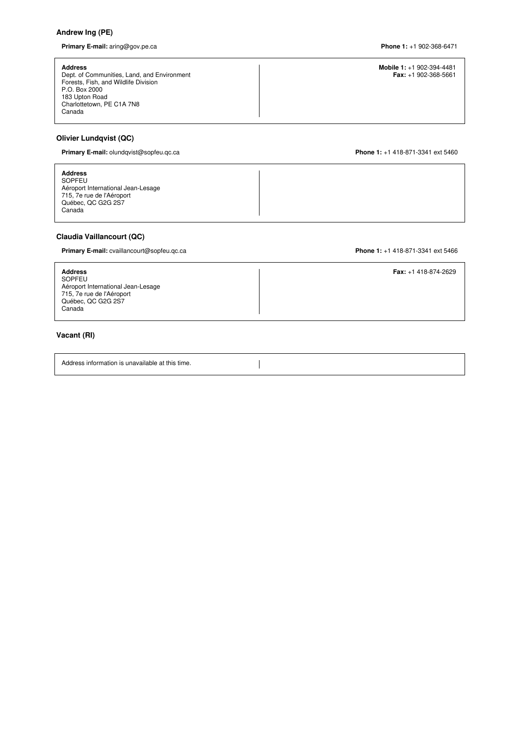# **Andrew Ing (PE)**

**Primary E-mail:** [aring@gov.pe.ca](mailto:aring@gov.pe.ca) **Phone 1:** +1 902-368-6471

| <b>Address</b><br>Dept. of Communities, Land, and Environment<br>Forests, Fish, and Wildlife Division<br>P.O. Box 2000<br>183 Upton Road<br>Charlottetown, PE C1A 7N8<br>Canada | Mobile $1: +1902-394-4481$<br><b>Fax:</b> $+1$ 902-368-5661 |
|---------------------------------------------------------------------------------------------------------------------------------------------------------------------------------|-------------------------------------------------------------|
|---------------------------------------------------------------------------------------------------------------------------------------------------------------------------------|-------------------------------------------------------------|

## **Olivier Lundqvist (QC)**

**Primary E-mail:** [olundqvist@sopfeu.qc.ca](mailto:olundqvist@sopfeu.qc.ca) **Phone 1:** +1 418-871-3341 ext 5460

# **Claudia Vaillancourt (QC)**

**Primary E-mail:** [cvaillancourt@sopfeu.qc.ca](mailto:cvaillancourt@sopfeu.qc.ca) **Phone 1:** +1 418-871-3341 ext 5466

| <b>Address</b><br>SOPFEU<br>Aéroport International Jean-Lesage | <b>Fax:</b> $+1$ 418-874-2629 |
|----------------------------------------------------------------|-------------------------------|
| 715, 7e rue de l'Aéroport<br>Québec, QC G2G 2S7<br>Canada      |                               |

# **Vacant (RI)**